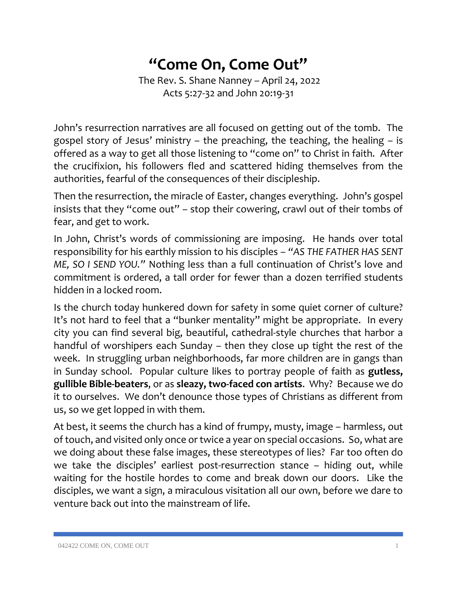## **"Come On, Come Out"**

The Rev. S. Shane Nanney – April 24, 2022 Acts 5:27-32 and John 20:19-31

John's resurrection narratives are all focused on getting out of the tomb. The gospel story of Jesus' ministry – the preaching, the teaching, the healing – is offered as a way to get all those listening to "come on" to Christ in faith. After the crucifixion, his followers fled and scattered hiding themselves from the authorities, fearful of the consequences of their discipleship.

Then the resurrection, the miracle of Easter, changes everything. John's gospel insists that they "come out" – stop their cowering, crawl out of their tombs of fear, and get to work.

In John, Christ's words of commissioning are imposing. He hands over total responsibility for his earthly mission to his disciples – *"AS THE FATHER HAS SENT ME, SO I SEND YOU."* Nothing less than a full continuation of Christ's love and commitment is ordered, a tall order for fewer than a dozen terrified students hidden in a locked room.

Is the church today hunkered down for safety in some quiet corner of culture? It's not hard to feel that a "bunker mentality" might be appropriate. In every city you can find several big, beautiful, cathedral-style churches that harbor a handful of worshipers each Sunday – then they close up tight the rest of the week. In struggling urban neighborhoods, far more children are in gangs than in Sunday school. Popular culture likes to portray people of faith as **gutless, gullible Bible-beaters**, or as **sleazy, two-faced con artists**. Why? Because we do it to ourselves. We don't denounce those types of Christians as different from us, so we get lopped in with them.

At best, it seems the church has a kind of frumpy, musty, image – harmless, out of touch, and visited only once or twice a year on special occasions. So, what are we doing about these false images, these stereotypes of lies? Far too often do we take the disciples' earliest post-resurrection stance – hiding out, while waiting for the hostile hordes to come and break down our doors. Like the disciples, we want a sign, a miraculous visitation all our own, before we dare to venture back out into the mainstream of life.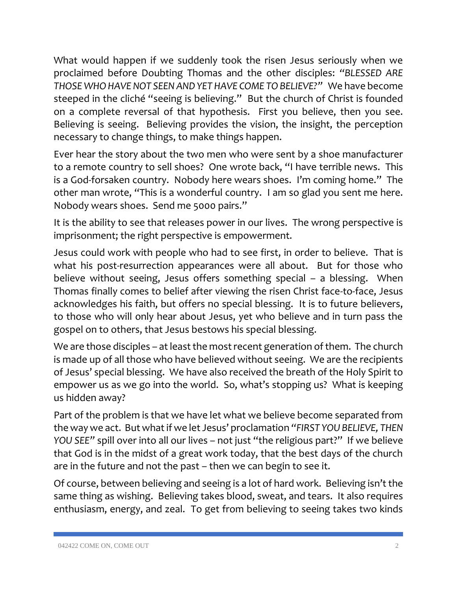What would happen if we suddenly took the risen Jesus seriously when we proclaimed before Doubting Thomas and the other disciples: *"BLESSED ARE THOSE WHO HAVE NOT SEEN AND YET HAVE COME TO BELIEVE?"* We have become steeped in the cliché "seeing is believing." But the church of Christ is founded on a complete reversal of that hypothesis. First you believe, then you see. Believing is seeing. Believing provides the vision, the insight, the perception necessary to change things, to make things happen.

Ever hear the story about the two men who were sent by a shoe manufacturer to a remote country to sell shoes? One wrote back, "I have terrible news. This is a God-forsaken country. Nobody here wears shoes. I'm coming home." The other man wrote, "This is a wonderful country. I am so glad you sent me here. Nobody wears shoes. Send me 5000 pairs."

It is the ability to see that releases power in our lives. The wrong perspective is imprisonment; the right perspective is empowerment.

Jesus could work with people who had to see first, in order to believe. That is what his post-resurrection appearances were all about. But for those who believe without seeing, Jesus offers something special – a blessing. When Thomas finally comes to belief after viewing the risen Christ face-to-face, Jesus acknowledges his faith, but offers no special blessing. It is to future believers, to those who will only hear about Jesus, yet who believe and in turn pass the gospel on to others, that Jesus bestows his special blessing.

We are those disciples – at least the most recent generation of them. The church is made up of all those who have believed without seeing. We are the recipients of Jesus' special blessing. We have also received the breath of the Holy Spirit to empower us as we go into the world. So, what's stopping us? What is keeping us hidden away?

Part of the problem is that we have let what we believe become separated from the way we act. But what if we let Jesus' proclamation *"FIRST YOU BELIEVE, THEN YOU SEE"* spill over into all our lives – not just "the religious part?" If we believe that God is in the midst of a great work today, that the best days of the church are in the future and not the past – then we can begin to see it.

Of course, between believing and seeing is a lot of hard work. Believing isn't the same thing as wishing. Believing takes blood, sweat, and tears. It also requires enthusiasm, energy, and zeal. To get from believing to seeing takes two kinds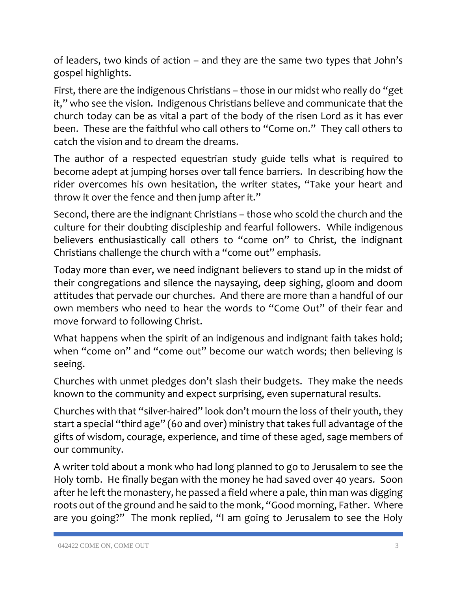of leaders, two kinds of action – and they are the same two types that John's gospel highlights.

First, there are the indigenous Christians – those in our midst who really do "get it," who see the vision. Indigenous Christians believe and communicate that the church today can be as vital a part of the body of the risen Lord as it has ever been. These are the faithful who call others to "Come on." They call others to catch the vision and to dream the dreams.

The author of a respected equestrian study guide tells what is required to become adept at jumping horses over tall fence barriers. In describing how the rider overcomes his own hesitation, the writer states, "Take your heart and throw it over the fence and then jump after it."

Second, there are the indignant Christians – those who scold the church and the culture for their doubting discipleship and fearful followers. While indigenous believers enthusiastically call others to "come on" to Christ, the indignant Christians challenge the church with a "come out" emphasis.

Today more than ever, we need indignant believers to stand up in the midst of their congregations and silence the naysaying, deep sighing, gloom and doom attitudes that pervade our churches. And there are more than a handful of our own members who need to hear the words to "Come Out" of their fear and move forward to following Christ.

What happens when the spirit of an indigenous and indignant faith takes hold; when "come on" and "come out" become our watch words; then believing is seeing.

Churches with unmet pledges don't slash their budgets. They make the needs known to the community and expect surprising, even supernatural results.

Churches with that "silver-haired" look don't mourn the loss of their youth, they start a special "third age" (60 and over) ministry that takes full advantage of the gifts of wisdom, courage, experience, and time of these aged, sage members of our community.

A writer told about a monk who had long planned to go to Jerusalem to see the Holy tomb. He finally began with the money he had saved over 40 years. Soon after he left the monastery, he passed a field where a pale, thin man was digging roots out of the ground and he said to the monk, "Good morning, Father. Where are you going?" The monk replied, "I am going to Jerusalem to see the Holy